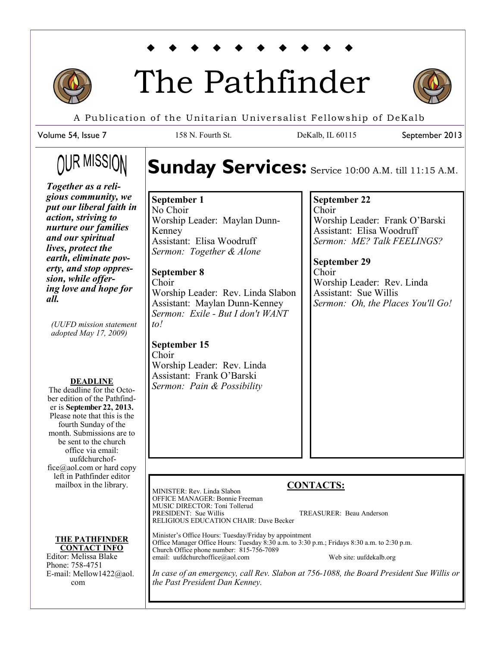

# The Pathfinder



September 2013

A Publication of the Unitarian Universalist Fellowship of DeKalb

158 N. Fourth St. DeKalb, IL 60115

Volume 54, Issue 7

# OUR MISSIO

# Sunday Services: Service 10:00 A.M. till 11:15 A.M.

*Together as a religious community, we put our liberal faith in action, striving to nurture our families and our spiritual lives, protect the earth, eliminate poverty, and stop oppression, while offering love and hope for all.* 

*(UUFD mission statement adopted May 17, 2009)*

#### **DEADLINE**

The deadline for the October edition of the Pathfinder is **September 22, 2013.**  Please note that this is the fourth Sunday of the month. Submissions are to be sent to the church office via email: uufdchurchoffice@aol.com or hard copy left in Pathfinder editor mailbox in the library.

**THE PATHFINDER CONTACT INFO**

Editor: Melissa Blake Phone: 758-4751 E-mail: Mellow1422@aol. com

#### **September 1** No Choir Worship Leader: Maylan Dunn-Kenney Assistant: Elisa Woodruff *Sermon: Together & Alone*

#### **September 8** Choir Worship Leader: Rev. Linda Slabon Assistant: Maylan Dunn-Kenney *Sermon: Exile - But I don't WANT to!*

**September 15** Choir Worship Leader: Rev. Linda Assistant: Frank O'Barski *Sermon: Pain & Possibility*

# **September 22**

Choir Worship Leader: Frank O'Barski Assistant: Elisa Woodruff *Sermon: ME? Talk FEELINGS?*

**September 29** Choir Worship Leader: Rev. Linda Assistant: Sue Willis *Sermon: Oh, the Places You'll Go!*

### **CONTACTS:**

MINISTER: Rev. Linda Slabon OFFICE MANAGER: Bonnie Freeman MUSIC DIRECTOR: Toni Tollerud<br>PRESIDENT: Sue Willis TREASURER: Beau Anderson RELIGIOUS EDUCATION CHAIR: Dave Becker

Minister's Office Hours: Tuesday/Friday by appointment Office Manager Office Hours: Tuesday 8:30 a.m. to 3:30 p.m.; Fridays 8:30 a.m. to 2:30 p.m. Church Office phone number: 815-756-7089 email: uufdchurchoffice@aol.com Web site: uufdekalb.org

*In case of an emergency, call Rev. Slabon at 756-1088, the Board President Sue Willis or the Past President Dan Kenney.*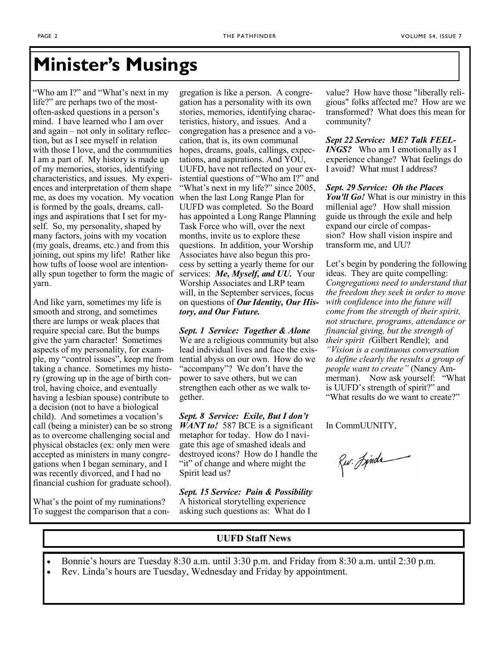# **Minister's Musings**

"Who am I?" and "What's next in my life?" are perhaps two of the mostoften-asked questions in a person's mind. I have learned who I am over and again – not only in solitary reflection, but as I see myself in relation with those I love, and the communities I am a part of. My history is made up of my memories, stories, identifying characteristics, and issues. My experiences and interpretation of them shape me, as does my vocation. My vocation is formed by the goals, dreams, callings and aspirations that I set for myself. So, my personality, shaped by many factors, joins with my vocation (my goals, dreams, etc.) and from this joining, out spins my life! Rather like how tufts of loose wool are intentionally spun together to form the magic of yarn.

And like yarn, sometimes my life is smooth and strong, and sometimes there are lumps or weak places that require special care. But the bumps give the yarn character! Sometimes aspects of my personality, for example, my "control issues", keep me from taking a chance. Sometimes my history (growing up in the age of birth control, having choice, and eventually having a lesbian spouse) contribute to a decision (not to have a biological child). And sometimes a vocation's call (being a minister) can be so strong as to overcome challenging social and physical obstacles (ex: only men were accepted as ministers in many congregations when I began seminary, and I was recently divorced, and I had no financial cushion for graduate school).

What's the point of my ruminations? To suggest the comparison that a con-

gregation is like a person. A congregation has a personality with its own stories, memories, identifying characteristics, history, and issues. And a congregation has a presence and a vocation, that is, its own communal hopes, dreams, goals, callings, expectations, and aspirations. And YOU, UUFD, have not reflected on your existential questions of "Who am I?" and "What's next in my life?" since 2005, when the last Long Range Plan for UUFD was completed. So the Board has appointed a Long Range Planning Task Force who will, over the next months, invite us to explore these questions. In addition, your Worship Associates have also begun this process by setting a yearly theme for our services: *Me, Myself, and UU.* Your Worship Associates and LRP team will, in the September services, focus on questions of *Our Identity, Our History, and Our Future.* 

*Sept. 1 Service: Together & Alone* We are a religious community but also lead individual lives and face the existential abyss on our own. How do we "accompany"? We don't have the power to save others, but we can strengthen each other as we walk together.

*Sept. 8 Service: Exile, But I don't WANT to!* 587 BCE is a significant metaphor for today. How do I navigate this age of smashed ideals and destroyed icons? How do I handle the "it" of change and where might the Spirit lead us?

*Sept. 15 Service: Pain & Possibility*  A historical storytelling experience asking such questions as: What do I

value? How have those "liberally religious" folks affected me? How are we transformed? What does this mean for community?

*Sept 22 Service: ME? Talk FEEL-INGS?* Who am I emotionally as I experience change? What feelings do I avoid? What must I address?

*Sept. 29 Service: Oh the Places You'll Go!* What is our ministry in this millenial age? How shall mission guide us through the exile and help expand our circle of compassion? How shall vision inspire and transform me, and UU?

Let's begin by pondering the following ideas. They are quite compelling: *Congregations need to understand that the freedom they seek in order to move with confidence into the future will come from the strength of their spirit, not structure, programs, attendance or financial giving, but the strength of their spirit (*Gilbert Rendle); and *"Vision is a continuous conversation to define clearly the results a group of people want to create"* (Nancy Ammerman). Now ask yourself: "What is UUFD's strength of spirit?" and "What results do we want to create?"

In CommUUNITY,

Rur. Jinda

#### **UUFD Staff News**

- Bonnie's hours are Tuesday 8:30 a.m. until 3:30 p.m. and Friday from 8:30 a.m. until 2:30 p.m.
- Rev. Linda's hours are Tuesday, Wednesday and Friday by appointment.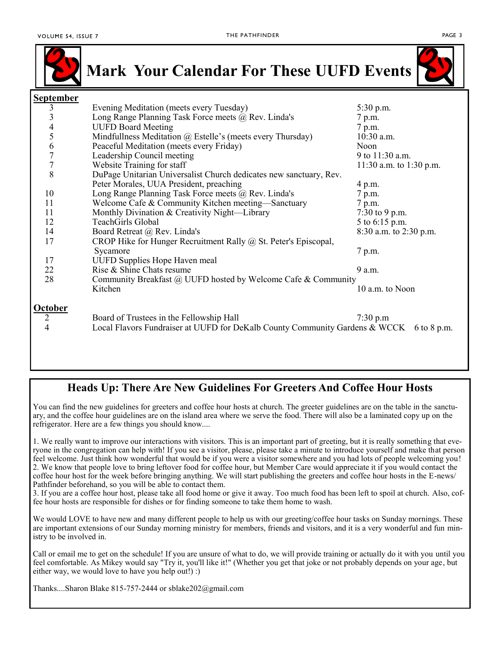

**Mark Your Calendar For These UUFD Events**



#### **September** 3 Evening Meditation (meets every Tuesday) 5:30 p.m.<br>3 Long Range Planning Task Force meets @ Rev. Linda's 7 p.m. 3 Long Range Planning Task Force meets @ Rev. Linda's 7 p.m.<br>4 UUFD Board Meeting 7 p.m. UUFD Board Meeting 7 p.m. 5 Mindfullness Meditation @ Estelle's (meets every Thursday) 10:30 a.m. 6 Peaceful Meditation (meets every Friday) Noon 7 Leadership Council meeting 9 to 11:30 a.m.<br>
9 to 11:30 a.m. to 1<br>
9 to 11:30 a.m. to 1 Website Training for staff 11:30 a.m. to 1:30 p.m. 8 DuPage Unitarian Universalist Church dedicates new sanctuary, Rev. Peter Morales, UUA President, preaching 4 p.m. 10 Long Range Planning Task Force meets @ Rev. Linda's 7 p.m. 11 Welcome Cafe & Community Kitchen meeting—Sanctuary 7 p.m. 11 Monthly Divination & Creativity Night—Library 7:30 to 9 p.m. 12 TeachGirls Global 5 to 6:15 p.m. 14 Board Retreat @ Rev. Linda's 8:30 a.m. to 2:30 p.m. 17 CROP Hike for Hunger Recruitment Rally @ St. Peter's Episcopal, Sycamore 7 p.m. 17 UUFD Supplies Hope Haven meal 22 Rise & Shine Chats resume 9 a.m. 28 Community Breakfast @ UUFD hosted by Welcome Cafe & Community Kitchen 10 a.m. to Noon **October** 2 Board of Trustees in the Fellowship Hall 7:30 p.m 4 Local Flavors Fundraiser at UUFD for DeKalb County Community Gardens & WCCK 6 to 8 p.m.

#### **Heads Up: There Are New Guidelines For Greeters And Coffee Hour Hosts**

You can find the new guidelines for greeters and coffee hour hosts at church. The greeter guidelines are on the table in the sanctuary, and the coffee hour guidelines are on the island area where we serve the food. There will also be a laminated copy up on the refrigerator. Here are a few things you should know....

1. We really want to improve our interactions with visitors. This is an important part of greeting, but it is really something that everyone in the congregation can help with! If you see a visitor, please, please take a minute to introduce yourself and make that person feel welcome. Just think how wonderful that would be if you were a visitor somewhere and you had lots of people welcoming you! 2. We know that people love to bring leftover food for coffee hour, but Member Care would appreciate it if you would contact the coffee hour host for the week before bringing anything. We will start publishing the greeters and coffee hour hosts in the E-news/ Pathfinder beforehand, so you will be able to contact them.

3. If you are a coffee hour host, please take all food home or give it away. Too much food has been left to spoil at church. Also, coffee hour hosts are responsible for dishes or for finding someone to take them home to wash.

We would LOVE to have new and many different people to help us with our greeting/coffee hour tasks on Sunday mornings. These are important extensions of our Sunday morning ministry for members, friends and visitors, and it is a very wonderful and fun ministry to be involved in.

Call or email me to get on the schedule! If you are unsure of what to do, we will provide training or actually do it with you until you feel comfortable. As Mikey would say "Try it, you'll like it!" (Whether you get that joke or not probably depends on your age, but either way, we would love to have you help out!) :)

Thanks....Sharon Blake 815-757-2444 or sblake202@gmail.com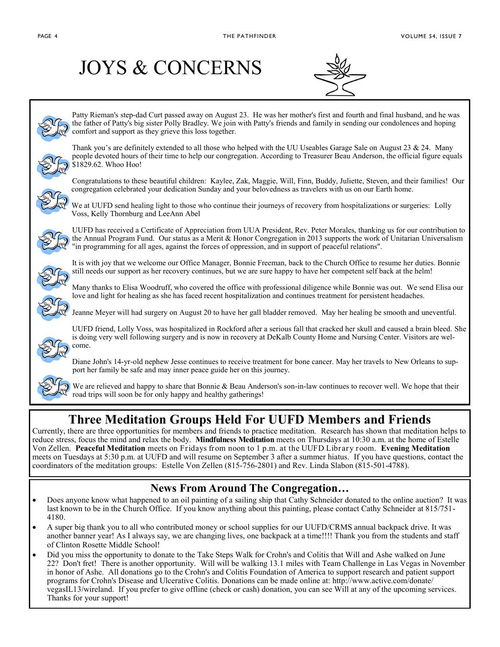# JOYS & CONCERNS





Patty Rieman's step-dad Curt passed away on August 23. He was her mother's first and fourth and final husband, and he was the father of Patty's big sister Polly Bradley. We join with Patty's friends and family in sending our condolences and hoping comfort and support as they grieve this loss together.



Thank you's are definitely extended to all those who helped with the UU Useables Garage Sale on August  $23 \& 24$ . Many people devoted hours of their time to help our congregation. According to Treasurer Beau Anderson, the official figure equals \$1829.62. Whoo Hoo!



Congratulations to these beautiful children: Kaylee, Zak, Maggie, Will, Finn, Buddy, Juliette, Steven, and their families! Our congregation celebrated your dedication Sunday and your belovedness as travelers with us on our Earth home.



We at UUFD send healing light to those who continue their journeys of recovery from hospitalizations or surgeries: Lolly Voss, Kelly Thornburg and LeeAnn Abel



UUFD has received a Certificate of Appreciation from UUA President, Rev. Peter Morales, thanking us for our contribution to the Annual Program Fund. Our status as a Merit & Honor Congregation in 2013 supports the work of Unitarian Universalism "in programming for all ages, against the forces of oppression, and in support of peaceful relations".



It is with joy that we welcome our Office Manager, Bonnie Freeman, back to the Church Office to resume her duties. Bonnie still needs our support as her recovery continues, but we are sure happy to have her competent self back at the helm!

Many thanks to Elisa Woodruff, who covered the office with professional diligence while Bonnie was out. We send Elisa our love and light for healing as she has faced recent hospitalization and continues treatment for persistent headaches.

Jeanne Meyer will had surgery on August 20 to have her gall bladder removed. May her healing be smooth and uneventful.



 UUFD friend, Lolly Voss, was hospitalized in Rockford after a serious fall that cracked her skull and caused a brain bleed. She is doing very well following surgery and is now in recovery at DeKalb County Home and Nursing Center. Visitors are welcome.

Diane John's 14-yr-old nephew Jesse continues to receive treatment for bone cancer. May her travels to New Orleans to support her family be safe and may inner peace guide her on this journey.



We are relieved and happy to share that Bonnie & Beau Anderson's son-in-law continues to recover well. We hope that their road trips will soon be for only happy and healthy gatherings!

# **Three Meditation Groups Held For UUFD Members and Friends**

Currently, there are three opportunities for members and friends to practice meditation. Research has shown that meditation helps to reduce stress, focus the mind and relax the body. **Mindfulness Meditation** meets on Thursdays at 10:30 a.m. at the home of Estelle Von Zellen. **Peaceful Meditation** meets on Fridays from noon to 1 p.m. at the UUFD Library room. **Evening Meditation**  meets on Tuesdays at 5:30 p.m. at UUFD and will resume on September 3 after a summer hiatus. If you have questions, contact the coordinators of the meditation groups: Estelle Von Zellen (815-756-2801) and Rev. Linda Slabon (815-501-4788).

### **News From Around The Congregation…**

- Does anyone know what happened to an oil painting of a sailing ship that Cathy Schneider donated to the online auction? It was last known to be in the Church Office. If you know anything about this painting, please contact Cathy Schneider at 815/751- 4180.
- A super big thank you to all who contributed money or school supplies for our UUFD/CRMS annual backpack drive. It was another banner year! As I always say, we are changing lives, one backpack at a time!!!! Thank you from the students and staff of Clinton Rosette Middle School!
- Did you miss the opportunity to donate to the Take Steps Walk for Crohn's and Colitis that Will and Ashe walked on June 22? Don't fret! There is another opportunity. Will will be walking 13.1 miles with Team Challenge in Las Vegas in November in honor of Ashe. All donations go to the Crohn's and Colitis Foundation of America to support research and patient support programs for Crohn's Disease and Ulcerative Colitis. Donations can be made online at: http://www.active.com/donate/ vegasIL13/wireland. If you prefer to give offline (check or cash) donation, you can see Will at any of the upcoming services. Thanks for your support!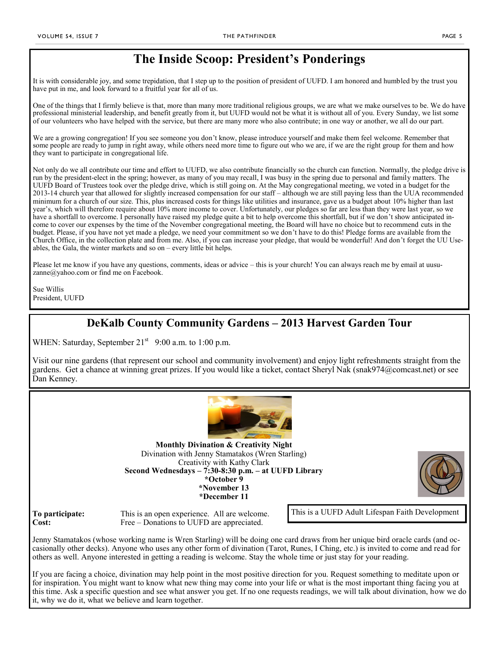# **The Inside Scoop: President's Ponderings**

It is with considerable joy, and some trepidation, that I step up to the position of president of UUFD. I am honored and humbled by the trust you have put in me, and look forward to a fruitful year for all of us.

One of the things that I firmly believe is that, more than many more traditional religious groups, we are what we make ourselves to be. We do have professional ministerial leadership, and benefit greatly from it, but UUFD would not be what it is without all of you. Every Sunday, we list some of our volunteers who have helped with the service, but there are many more who also contribute; in one way or another, we all do our part.

We are a growing congregation! If you see someone you don't know, please introduce yourself and make them feel welcome. Remember that some people are ready to jump in right away, while others need more time to figure out who we are, if we are the right group for them and how they want to participate in congregational life.

Not only do we all contribute our time and effort to UUFD, we also contribute financially so the church can function. Normally, the pledge drive is run by the president-elect in the spring; however, as many of you may recall, I was busy in the spring due to personal and family matters. The UUFD Board of Trustees took over the pledge drive, which is still going on. At the May congregational meeting, we voted in a budget for the 2013-14 church year that allowed for slightly increased compensation for our staff – although we are still paying less than the UUA recommended minimum for a church of our size. This, plus increased costs for things like utilities and insurance, gave us a budget about 10% higher than last year's, which will therefore require about 10% more income to cover. Unfortunately, our pledges so far are less than they were last year, so we have a shortfall to overcome. I personally have raised my pledge quite a bit to help overcome this shortfall, but if we don't show anticipated income to cover our expenses by the time of the November congregational meeting, the Board will have no choice but to recommend cuts in the budget. Please, if you have not yet made a pledge, we need your commitment so we don't have to do this! Pledge forms are available from the Church Office, in the collection plate and from me. Also, if you can increase your pledge, that would be wonderful! And don't forget the UU Useables, the Gala, the winter markets and so on – every little bit helps.

Please let me know if you have any questions, comments, ideas or advice – this is your church! You can always reach me by email at [uusu](mailto:uusuzanne@yahoo.com)[zanne@yahoo.com o](mailto:uusuzanne@yahoo.com)r find me on Facebook.

Sue Willis President, UUFD

### **DeKalb County Community Gardens – 2013 Harvest Garden Tour**

WHEN: Saturday, September  $21<sup>st</sup>$  9:00 a.m. to 1:00 p.m.

Visit our nine gardens (that represent our school and community involvement) and enjoy light refreshments straight from the gardens. Get a chance at winning great prizes. If you would like a ticket, contact Sheryl Nak [\(snak974@comcast.net\)](mailto:snak974@comcast.net) or see Dan Kenney.



**Monthly Divination & Creativity Night** Divination with Jenny Stamatakos (Wren Starling) Creativity with Kathy Clark **Second Wednesdays – 7:30-8:30 p.m. – at UUFD Library \*October 9 \*November 13 \*December 11**



**To participate:** This is an open experience. All are welcome. **Cost:** Free – Donations to UUFD are appreciated.

This is a UUFD Adult Lifespan Faith Development

Jenny Stamatakos (whose working name is Wren Starling) will be doing one card draws from her unique bird oracle cards (and occasionally other decks). Anyone who uses any other form of divination (Tarot, Runes, I Ching, etc.) is invited to come and read for others as well. Anyone interested in getting a reading is welcome. Stay the whole time or just stay for your reading.

If you are facing a choice, divination may help point in the most positive direction for you. Request something to meditate upon or for inspiration. You might want to know what new thing may come into your life or what is the most important thing facing you at this time. Ask a specific question and see what answer you get. If no one requests readings, we will talk about divination, how we do it, why we do it, what we believe and learn together.